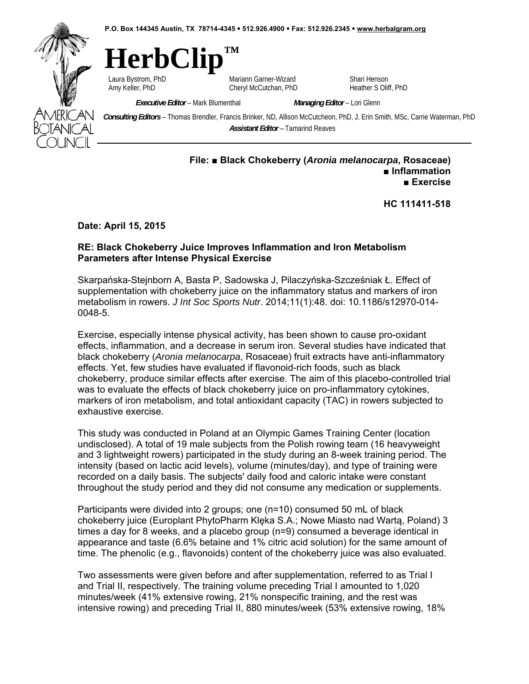**P.O. Box 144345 Austin, TX 78714-4345 512.926.4900 Fax: 512.926.2345 www.herbalgram.org** 



## **HerbClip™**

Laura Bystrom, PhD **Mariann Garner-Wizard** Shari Henson<br>Amy Keller. PhD **Mariann Garner-Wizard** Shari Heather Solif Cheryl McCutchan, PhD Heather S Oliff, PhD

*Executive Editor* – Mark Blumenthal *Managing Editor* – Lori Glenn

*Consulting Editors* – Thomas Brendler, Francis Brinker, ND, Allison McCutcheon, PhD, J. Erin Smith, MSc, Carrie Waterman, PhD *Assistant Editor –* Tamarind Reaves

## **File: ■ Black Chokeberry (***Aronia melanocarpa***, Rosaceae) ■ Inflammation ■ Exercise**

**HC 111411-518** 

**Date: April 15, 2015** 

## **RE: Black Chokeberry Juice Improves Inflammation and Iron Metabolism Parameters after Intense Physical Exercise**

Skarpańska-Stejnborn A, Basta P, Sadowska J, Pilaczyńska-Szcześniak Ł. Effect of supplementation with chokeberry juice on the inflammatory status and markers of iron metabolism in rowers. *J Int Soc Sports Nutr*. 2014;11(1):48. doi: 10.1186/s12970-014- 0048-5.

Exercise, especially intense physical activity, has been shown to cause pro-oxidant effects, inflammation, and a decrease in serum iron. Several studies have indicated that black chokeberry (*Aronia melanocarpa*, Rosaceae) fruit extracts have anti-inflammatory effects. Yet, few studies have evaluated if flavonoid-rich foods, such as black chokeberry, produce similar effects after exercise. The aim of this placebo-controlled trial was to evaluate the effects of black chokeberry juice on pro-inflammatory cytokines, markers of iron metabolism, and total antioxidant capacity (TAC) in rowers subjected to exhaustive exercise.

This study was conducted in Poland at an Olympic Games Training Center (location undisclosed). A total of 19 male subjects from the Polish rowing team (16 heavyweight and 3 lightweight rowers) participated in the study during an 8-week training period. The intensity (based on lactic acid levels), volume (minutes/day), and type of training were recorded on a daily basis. The subjects' daily food and caloric intake were constant throughout the study period and they did not consume any medication or supplements.

Participants were divided into 2 groups; one (n=10) consumed 50 mL of black chokeberry juice (Europlant PhytoPharm Klęka S.A.; Nowe Miasto nad Wartą, Poland) 3 times a day for 8 weeks, and a placebo group (n=9) consumed a beverage identical in appearance and taste (6.6% betaine and 1% citric acid solution) for the same amount of time. The phenolic (e.g., flavonoids) content of the chokeberry juice was also evaluated.

Two assessments were given before and after supplementation, referred to as Trial I and Trial II, respectively. The training volume preceding Trial I amounted to 1,020 minutes/week (41% extensive rowing, 21% nonspecific training, and the rest was intensive rowing) and preceding Trial II, 880 minutes/week (53% extensive rowing, 18%